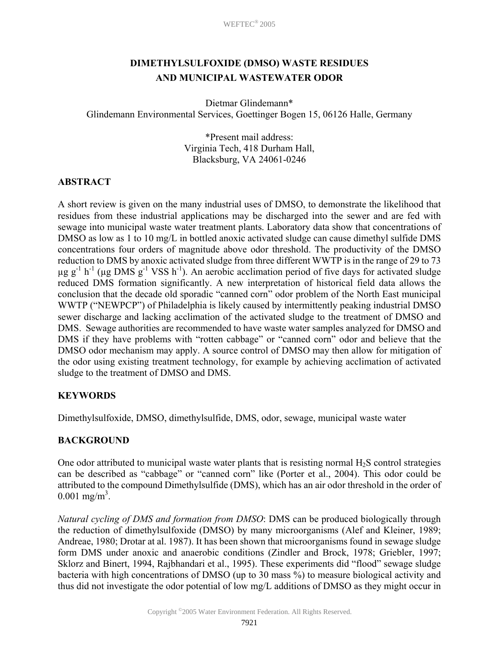# **DIMETHYLSULFOXIDE (DMSO) WASTE RESIDUES AND MUNICIPAL WASTEWATER ODOR**

Dietmar Glindemann\* Glindemann Environmental Services, Goettinger Bogen 15, 06126 Halle, Germany

> \*Present mail address: Virginia Tech, 418 Durham Hall, Blacksburg, VA 24061-0246

### **ABSTRACT**

A short review is given on the many industrial uses of DMSO, to demonstrate the likelihood that residues from these industrial applications may be discharged into the sewer and are fed with sewage into municipal waste water treatment plants. Laboratory data show that concentrations of DMSO as low as 1 to 10 mg/L in bottled anoxic activated sludge can cause dimethyl sulfide DMS concentrations four orders of magnitude above odor threshold. The productivity of the DMSO reduction to DMS by anoxic activated sludge from three different WWTP is in the range of 29 to 73  $\mu$ g g<sup>-1</sup> h<sup>-1</sup> ( $\mu$ g DMS g<sup>-1</sup> VSS h<sup>-1</sup>). An aerobic acclimation period of five days for activated sludge reduced DMS formation significantly. A new interpretation of historical field data allows the conclusion that the decade old sporadic "canned corn" odor problem of the North East municipal WWTP ("NEWPCP") of Philadelphia is likely caused by intermittently peaking industrial DMSO sewer discharge and lacking acclimation of the activated sludge to the treatment of DMSO and DMS. Sewage authorities are recommended to have waste water samples analyzed for DMSO and DMS if they have problems with "rotten cabbage" or "canned corn" odor and believe that the DMSO odor mechanism may apply. A source control of DMSO may then allow for mitigation of the odor using existing treatment technology, for example by achieving acclimation of activated sludge to the treatment of DMSO and DMS.

#### **KEYWORDS**

Dimethylsulfoxide, DMSO, dimethylsulfide, DMS, odor, sewage, municipal waste water

### **BACKGROUND**

One odor attributed to municipal waste water plants that is resisting normal  $H<sub>2</sub>S$  control strategies can be described as "cabbage" or "canned corn" like (Porter et al., 2004). This odor could be attributed to the compound Dimethylsulfide (DMS), which has an air odor threshold in the order of  $0.001$  mg/m<sup>3</sup>.

*Natural cycling of DMS and formation from DMSO*: DMS can be produced biologically through the reduction of dimethylsulfoxide (DMSO) by many microorganisms (Alef and Kleiner, 1989; Andreae, 1980; Drotar at al. 1987). It has been shown that microorganisms found in sewage sludge form DMS under anoxic and anaerobic conditions (Zindler and Brock, 1978; Griebler, 1997; Sklorz and Binert, 1994, Rajbhandari et al., 1995). These experiments did "flood" sewage sludge bacteria with high concentrations of DMSO (up to 30 mass %) to measure biological activity and thus did not investigate the odor potential of low mg/L additions of DMSO as they might occur in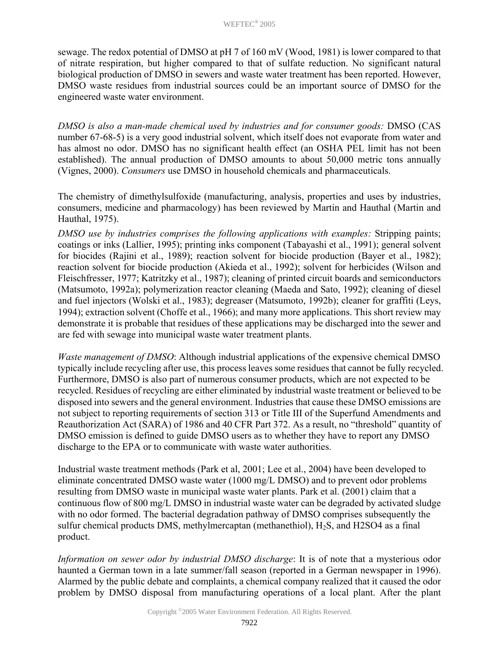sewage. The redox potential of DMSO at pH 7 of 160 mV (Wood, 1981) is lower compared to that of nitrate respiration, but higher compared to that of sulfate reduction. No significant natural biological production of DMSO in sewers and waste water treatment has been reported. However, DMSO waste residues from industrial sources could be an important source of DMSO for the engineered waste water environment.

*DMSO is also a man-made chemical used by industries and for consumer goods:* DMSO (CAS number 67-68-5) is a very good industrial solvent, which itself does not evaporate from water and has almost no odor. DMSO has no significant health effect (an OSHA PEL limit has not been established). The annual production of DMSO amounts to about 50,000 metric tons annually (Vignes, 2000). *Consumers* use DMSO in household chemicals and pharmaceuticals.

The chemistry of dimethylsulfoxide (manufacturing, analysis, properties and uses by industries, consumers, medicine and pharmacology) has been reviewed by Martin and Hauthal (Martin and Hauthal, 1975).

*DMSO use by industries comprises the following applications with examples:* Stripping paints; coatings or inks (Lallier, 1995); printing inks component (Tabayashi et al., 1991); general solvent for biocides (Rajini et al., 1989); reaction solvent for biocide production (Bayer et al., 1982); reaction solvent for biocide production (Akieda et al., 1992); solvent for herbicides (Wilson and Fleischfresser, 1977; Katritzky et al., 1987); cleaning of printed circuit boards and semiconductors (Matsumoto, 1992a); polymerization reactor cleaning (Maeda and Sato, 1992); cleaning of diesel and fuel injectors (Wolski et al., 1983); degreaser (Matsumoto, 1992b); cleaner for graffiti (Leys, 1994); extraction solvent (Choffe et al., 1966); and many more applications. This short review may demonstrate it is probable that residues of these applications may be discharged into the sewer and are fed with sewage into municipal waste water treatment plants.

*Waste management of DMSO*: Although industrial applications of the expensive chemical DMSO typically include recycling after use, this process leaves some residues that cannot be fully recycled. Furthermore, DMSO is also part of numerous consumer products, which are not expected to be recycled. Residues of recycling are either eliminated by industrial waste treatment or believed to be disposed into sewers and the general environment. Industries that cause these DMSO emissions are not subject to reporting requirements of section 313 or Title III of the Superfund Amendments and Reauthorization Act (SARA) of 1986 and 40 CFR Part 372. As a result, no "threshold" quantity of DMSO emission is defined to guide DMSO users as to whether they have to report any DMSO discharge to the EPA or to communicate with waste water authorities.

Industrial waste treatment methods (Park et al, 2001; Lee et al., 2004) have been developed to eliminate concentrated DMSO waste water (1000 mg/L DMSO) and to prevent odor problems resulting from DMSO waste in municipal waste water plants. Park et al. (2001) claim that a continuous flow of 800 mg/L DMSO in industrial waste water can be degraded by activated sludge with no odor formed. The bacterial degradation pathway of DMSO comprises subsequently the sulfur chemical products DMS, methylmercaptan (methanethiol),  $H_2S$ , and H2SO4 as a final product.

*Information on sewer odor by industrial DMSO discharge*: It is of note that a mysterious odor haunted a German town in a late summer/fall season (reported in a German newspaper in 1996). Alarmed by the public debate and complaints, a chemical company realized that it caused the odor problem by DMSO disposal from manufacturing operations of a local plant. After the plant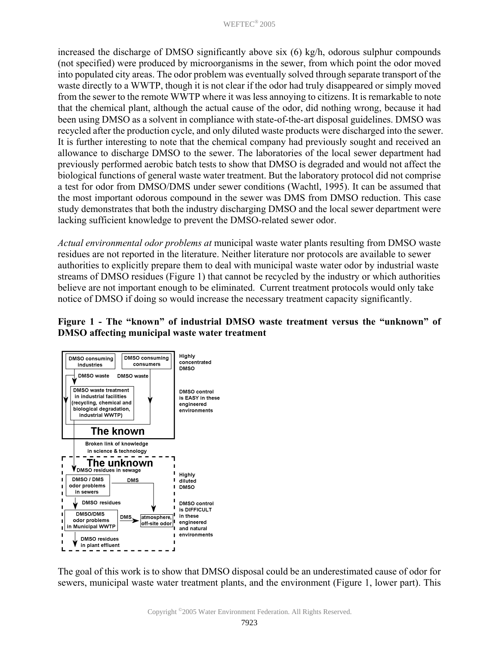increased the discharge of DMSO significantly above six (6) kg/h, odorous sulphur compounds (not specified) were produced by microorganisms in the sewer, from which point the odor moved into populated city areas. The odor problem was eventually solved through separate transport of the waste directly to a WWTP, though it is not clear if the odor had truly disappeared or simply moved from the sewer to the remote WWTP where it was less annoying to citizens. It is remarkable to note that the chemical plant, although the actual cause of the odor, did nothing wrong, because it had been using DMSO as a solvent in compliance with state-of-the-art disposal guidelines. DMSO was recycled after the production cycle, and only diluted waste products were discharged into the sewer. It is further interesting to note that the chemical company had previously sought and received an allowance to discharge DMSO to the sewer. The laboratories of the local sewer department had previously performed aerobic batch tests to show that DMSO is degraded and would not affect the biological functions of general waste water treatment. But the laboratory protocol did not comprise a test for odor from DMSO/DMS under sewer conditions (Wachtl, 1995). It can be assumed that the most important odorous compound in the sewer was DMS from DMSO reduction. This case study demonstrates that both the industry discharging DMSO and the local sewer department were lacking sufficient knowledge to prevent the DMSO-related sewer odor.

*Actual environmental odor problems at* municipal waste water plants resulting from DMSO waste residues are not reported in the literature. Neither literature nor protocols are available to sewer authorities to explicitly prepare them to deal with municipal waste water odor by industrial waste streams of DMSO residues (Figure 1) that cannot be recycled by the industry or which authorities believe are not important enough to be eliminated. Current treatment protocols would only take notice of DMSO if doing so would increase the necessary treatment capacity significantly.

### **Figure 1 - The "known" of industrial DMSO waste treatment versus the "unknown" of DMSO affecting municipal waste water treatment**



The goal of this work is to show that DMSO disposal could be an underestimated cause of odor for sewers, municipal waste water treatment plants, and the environment (Figure 1, lower part). This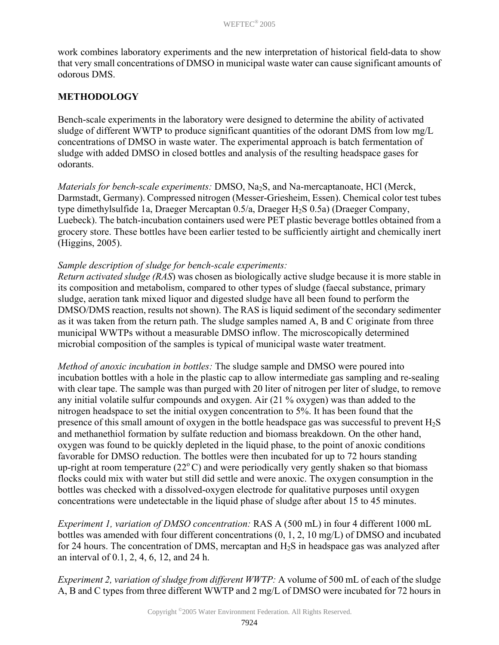work combines laboratory experiments and the new interpretation of historical field-data to show that very small concentrations of DMSO in municipal waste water can cause significant amounts of odorous DMS.

### **METHODOLOGY**

Bench-scale experiments in the laboratory were designed to determine the ability of activated sludge of different WWTP to produce significant quantities of the odorant DMS from low mg/L concentrations of DMSO in waste water. The experimental approach is batch fermentation of sludge with added DMSO in closed bottles and analysis of the resulting headspace gases for odorants.

*Materials for bench-scale experiments: DMSO, Na<sub>2</sub>S, and Na-mercaptanoate, HCl (Merck,* Darmstadt, Germany). Compressed nitrogen (Messer-Griesheim, Essen). Chemical color test tubes type dimethylsulfide 1a, Draeger Mercaptan 0.5/a, Draeger H2S 0.5a) (Draeger Company, Luebeck). The batch-incubation containers used were PET plastic beverage bottles obtained from a grocery store. These bottles have been earlier tested to be sufficiently airtight and chemically inert (Higgins, 2005).

#### *Sample description of sludge for bench-scale experiments:*

*Return activated sludge (RAS*) was chosen as biologically active sludge because it is more stable in its composition and metabolism, compared to other types of sludge (faecal substance, primary sludge, aeration tank mixed liquor and digested sludge have all been found to perform the DMSO/DMS reaction, results not shown). The RAS is liquid sediment of the secondary sedimenter as it was taken from the return path. The sludge samples named A, B and C originate from three municipal WWTPs without a measurable DMSO inflow. The microscopically determined microbial composition of the samples is typical of municipal waste water treatment.

*Method of anoxic incubation in bottles:* The sludge sample and DMSO were poured into incubation bottles with a hole in the plastic cap to allow intermediate gas sampling and re-sealing with clear tape. The sample was than purged with 20 liter of nitrogen per liter of sludge, to remove any initial volatile sulfur compounds and oxygen. Air (21 % oxygen) was than added to the nitrogen headspace to set the initial oxygen concentration to 5%. It has been found that the presence of this small amount of oxygen in the bottle headspace gas was successful to prevent  $H_2S$ and methanethiol formation by sulfate reduction and biomass breakdown. On the other hand, oxygen was found to be quickly depleted in the liquid phase, to the point of anoxic conditions favorable for DMSO reduction. The bottles were then incubated for up to 72 hours standing up-right at room temperature  $(22^{\circ}$ C) and were periodically very gently shaken so that biomass flocks could mix with water but still did settle and were anoxic. The oxygen consumption in the bottles was checked with a dissolved-oxygen electrode for qualitative purposes until oxygen concentrations were undetectable in the liquid phase of sludge after about 15 to 45 minutes.

*Experiment 1, variation of DMSO concentration:* RAS A (500 mL) in four 4 different 1000 mL bottles was amended with four different concentrations (0, 1, 2, 10 mg/L) of DMSO and incubated for 24 hours. The concentration of DMS, mercaptan and  $H_2S$  in headspace gas was analyzed after an interval of 0.1, 2, 4, 6, 12, and 24 h.

*Experiment 2, variation of sludge from different WWTP:* A volume of 500 mL of each of the sludge A, B and C types from three different WWTP and 2 mg/L of DMSO were incubated for 72 hours in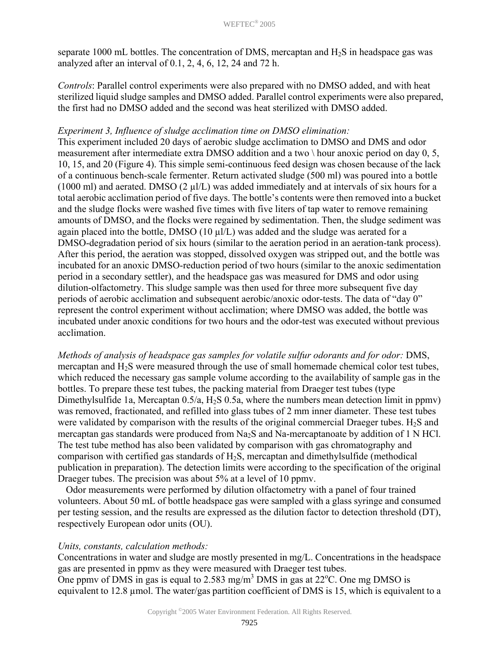separate 1000 mL bottles. The concentration of DMS, mercaptan and  $H_2S$  in headspace gas was analyzed after an interval of 0.1, 2, 4, 6, 12, 24 and 72 h.

*Controls*: Parallel control experiments were also prepared with no DMSO added, and with heat sterilized liquid sludge samples and DMSO added. Parallel control experiments were also prepared, the first had no DMSO added and the second was heat sterilized with DMSO added.

#### *Experiment 3, Influence of sludge acclimation time on DMSO elimination:*

This experiment included 20 days of aerobic sludge acclimation to DMSO and DMS and odor measurement after intermediate extra DMSO addition and a two \ hour anoxic period on day 0, 5, 10, 15, and 20 (Figure 4). This simple semi-continuous feed design was chosen because of the lack of a continuous bench-scale fermenter. Return activated sludge (500 ml) was poured into a bottle (1000 ml) and aerated. DMSO (2  $\mu$ l/L) was added immediately and at intervals of six hours for a total aerobic acclimation period of five days. The bottle's contents were then removed into a bucket and the sludge flocks were washed five times with five liters of tap water to remove remaining amounts of DMSO, and the flocks were regained by sedimentation. Then, the sludge sediment was again placed into the bottle, DMSO  $(10 \mu/L)$  was added and the sludge was aerated for a DMSO-degradation period of six hours (similar to the aeration period in an aeration-tank process). After this period, the aeration was stopped, dissolved oxygen was stripped out, and the bottle was incubated for an anoxic DMSO-reduction period of two hours (similar to the anoxic sedimentation period in a secondary settler), and the headspace gas was measured for DMS and odor using dilution-olfactometry. This sludge sample was then used for three more subsequent five day periods of aerobic acclimation and subsequent aerobic/anoxic odor-tests. The data of "day 0" represent the control experiment without acclimation; where DMSO was added, the bottle was incubated under anoxic conditions for two hours and the odor-test was executed without previous acclimation.

*Methods of analysis of headspace gas samples for volatile sulfur odorants and for odor: DMS,* mercaptan and H<sub>2</sub>S were measured through the use of small homemade chemical color test tubes, which reduced the necessary gas sample volume according to the availability of sample gas in the bottles. To prepare these test tubes, the packing material from Draeger test tubes (type Dimethylsulfide 1a, Mercaptan  $0.5/a$ ,  $H<sub>2</sub>S$  0.5a, where the numbers mean detection limit in ppmv) was removed, fractionated, and refilled into glass tubes of 2 mm inner diameter. These test tubes were validated by comparison with the results of the original commercial Draeger tubes.  $H_2S$  and mercaptan gas standards were produced from Na<sub>2</sub>S and Na-mercaptanoate by addition of 1 N HCl. The test tube method has also been validated by comparison with gas chromatography and comparison with certified gas standards of H2S, mercaptan and dimethylsulfide (methodical publication in preparation). The detection limits were according to the specification of the original Draeger tubes. The precision was about 5% at a level of 10 ppmv.

Odor measurements were performed by dilution olfactometry with a panel of four trained volunteers. About 50 mL of bottle headspace gas were sampled with a glass syringe and consumed per testing session, and the results are expressed as the dilution factor to detection threshold (DT), respectively European odor units (OU).

#### *Units, constants, calculation methods:*

Concentrations in water and sludge are mostly presented in mg/L. Concentrations in the headspace gas are presented in ppmv as they were measured with Draeger test tubes. One ppmv of DMS in gas is equal to 2.583 mg/m<sup>3</sup> DMS in gas at  $22^{\circ}$ C. One mg DMSO is equivalent to 12.8 µmol. The water/gas partition coefficient of DMS is 15, which is equivalent to a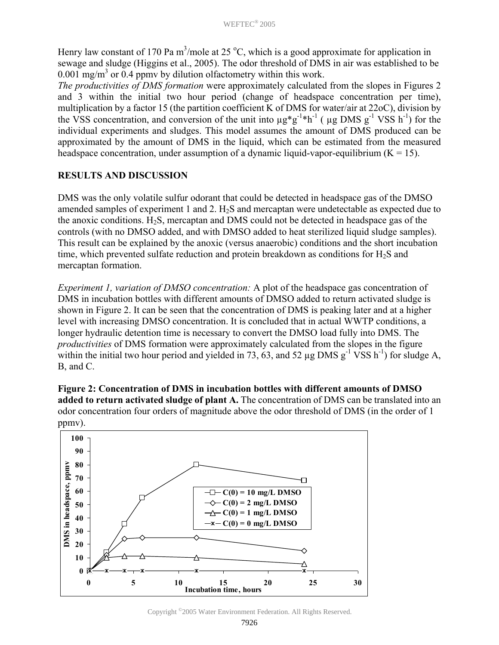Henry law constant of 170 Pa m<sup>3</sup>/mole at 25 °C, which is a good approximate for application in sewage and sludge (Higgins et al., 2005). The odor threshold of DMS in air was established to be  $0.001$  mg/m<sup>3</sup> or  $0.4$  ppmv by dilution olfactometry within this work.

*The productivities of DMS formation* were approximately calculated from the slopes in Figures 2 and 3 within the initial two hour period (change of headspace concentration per time), multiplication by a factor 15 (the partition coefficient K of DMS for water/air at 22oC), division by the VSS concentration, and conversion of the unit into  $\mu g^* g^{-1} h^{-1}$  ( $\mu g$  DMS  $g^{-1}$  VSS  $h^{-1}$ ) for the individual experiments and sludges. This model assumes the amount of DMS produced can be approximated by the amount of DMS in the liquid, which can be estimated from the measured headspace concentration, under assumption of a dynamic liquid-vapor-equilibrium  $(K = 15)$ .

### **RESULTS AND DISCUSSION**

**0**

DMS was the only volatile sulfur odorant that could be detected in headspace gas of the DMSO amended samples of experiment 1 and 2.  $H_2S$  and mercaptan were undetectable as expected due to the anoxic conditions.  $H_2S$ , mercaptan and DMS could not be detected in headspace gas of the controls (with no DMSO added, and with DMSO added to heat sterilized liquid sludge samples). This result can be explained by the anoxic (versus anaerobic) conditions and the short incubation time, which prevented sulfate reduction and protein breakdown as conditions for  $H_2S$  and mercaptan formation.

*Experiment 1, variation of DMSO concentration:* A plot of the headspace gas concentration of DMS in incubation bottles with different amounts of DMSO added to return activated sludge is shown in Figure 2. It can be seen that the concentration of DMS is peaking later and at a higher level with increasing DMSO concentration. It is concluded that in actual WWTP conditions, a longer hydraulic detention time is necessary to convert the DMSO load fully into DMS. The *productivities* of DMS formation were approximately calculated from the slopes in the figure within the initial two hour period and yielded in 73, 63, and 52  $\mu$ g DMS g<sup>-1</sup> VSS h<sup>-1</sup>) for sludge A, B, and C.



**0 5 10 15 20 25 30 Incubation time, hours**

**Figure 2: Concentration of DMS in incubation bottles with different amounts of DMSO added to return activated sludge of plant A.** The concentration of DMS can be translated into an odor concentration four orders of magnitude above the odor threshold of DMS (in the order of 1

Copyright ©2005 Water Environment Federation. All Rights Reserved.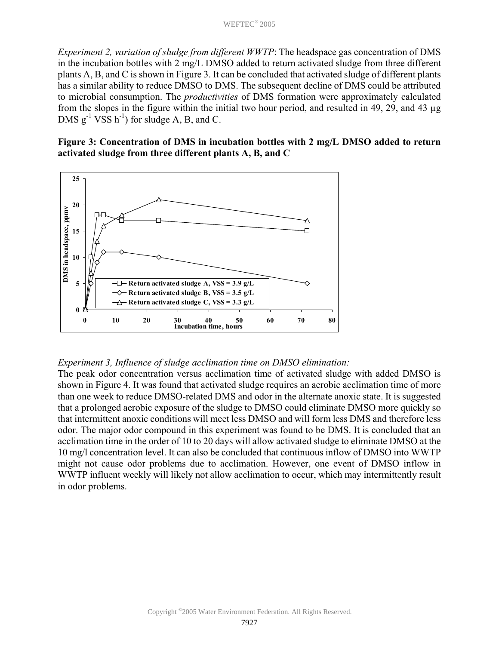#### WEFTEC® 2005

*Experiment 2, variation of sludge from different WWTP*: The headspace gas concentration of DMS in the incubation bottles with 2 mg/L DMSO added to return activated sludge from three different plants A, B, and C is shown in Figure 3. It can be concluded that activated sludge of different plants has a similar ability to reduce DMSO to DMS. The subsequent decline of DMS could be attributed to microbial consumption. The *productivities* of DMS formation were approximately calculated from the slopes in the figure within the initial two hour period, and resulted in 49, 29, and 43 µg DMS  $g^{-1}$  VSS h<sup>-1</sup>) for sludge A, B, and C.

### **Figure 3: Concentration of DMS in incubation bottles with 2 mg/L DMSO added to return activated sludge from three different plants A, B, and C**



#### *Experiment 3, Influence of sludge acclimation time on DMSO elimination:*

The peak odor concentration versus acclimation time of activated sludge with added DMSO is shown in Figure 4. It was found that activated sludge requires an aerobic acclimation time of more than one week to reduce DMSO-related DMS and odor in the alternate anoxic state. It is suggested that a prolonged aerobic exposure of the sludge to DMSO could eliminate DMSO more quickly so that intermittent anoxic conditions will meet less DMSO and will form less DMS and therefore less odor. The major odor compound in this experiment was found to be DMS. It is concluded that an acclimation time in the order of 10 to 20 days will allow activated sludge to eliminate DMSO at the 10 mg/l concentration level. It can also be concluded that continuous inflow of DMSO into WWTP might not cause odor problems due to acclimation. However, one event of DMSO inflow in WWTP influent weekly will likely not allow acclimation to occur, which may intermittently result in odor problems.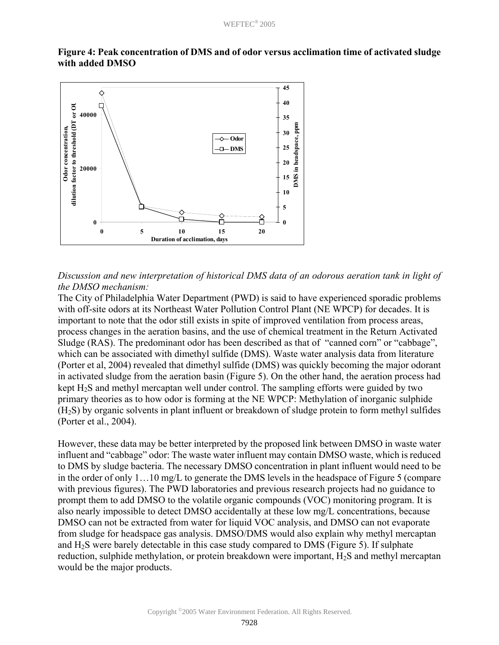

**Figure 4: Peak concentration of DMS and of odor versus acclimation time of activated sludge with added DMSO** 

### *Discussion and new interpretation of historical DMS data of an odorous aeration tank in light of the DMSO mechanism:*

The City of Philadelphia Water Department (PWD) is said to have experienced sporadic problems with off-site odors at its Northeast Water Pollution Control Plant (NE WPCP) for decades. It is important to note that the odor still exists in spite of improved ventilation from process areas, process changes in the aeration basins, and the use of chemical treatment in the Return Activated Sludge (RAS). The predominant odor has been described as that of "canned corn" or "cabbage", which can be associated with dimethyl sulfide (DMS). Waste water analysis data from literature (Porter et al, 2004) revealed that dimethyl sulfide (DMS) was quickly becoming the major odorant in activated sludge from the aeration basin (Figure 5). On the other hand, the aeration process had kept H2S and methyl mercaptan well under control. The sampling efforts were guided by two primary theories as to how odor is forming at the NE WPCP: Methylation of inorganic sulphide (H2S) by organic solvents in plant influent or breakdown of sludge protein to form methyl sulfides (Porter et al., 2004).

However, these data may be better interpreted by the proposed link between DMSO in waste water influent and "cabbage" odor: The waste water influent may contain DMSO waste, which is reduced to DMS by sludge bacteria. The necessary DMSO concentration in plant influent would need to be in the order of only 1…10 mg/L to generate the DMS levels in the headspace of Figure 5 (compare with previous figures). The PWD laboratories and previous research projects had no guidance to prompt them to add DMSO to the volatile organic compounds (VOC) monitoring program. It is also nearly impossible to detect DMSO accidentally at these low mg/L concentrations, because DMSO can not be extracted from water for liquid VOC analysis, and DMSO can not evaporate from sludge for headspace gas analysis. DMSO/DMS would also explain why methyl mercaptan and H2S were barely detectable in this case study compared to DMS (Figure 5). If sulphate reduction, sulphide methylation, or protein breakdown were important. H<sub>2</sub>S and methyl mercaptan would be the major products.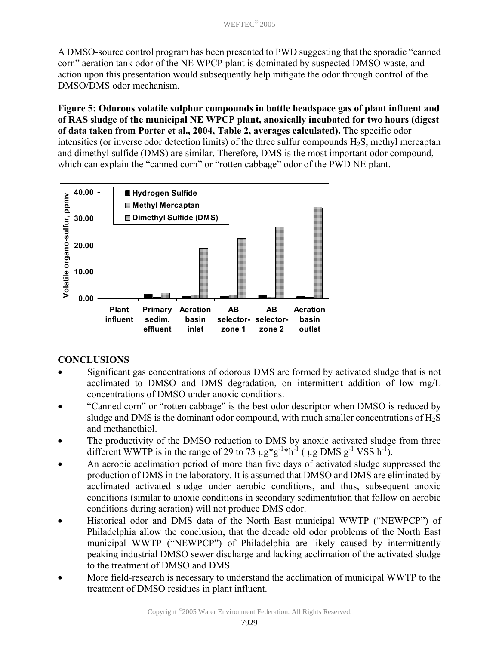A DMSO-source control program has been presented to PWD suggesting that the sporadic "canned corn" aeration tank odor of the NE WPCP plant is dominated by suspected DMSO waste, and action upon this presentation would subsequently help mitigate the odor through control of the DMSO/DMS odor mechanism.

**Figure 5: Odorous volatile sulphur compounds in bottle headspace gas of plant influent and of RAS sludge of the municipal NE WPCP plant, anoxically incubated for two hours (digest of data taken from Porter et al., 2004, Table 2, averages calculated).** The specific odor intensities (or inverse odor detection limits) of the three sulfur compounds  $H_2S$ , methyl mercaptan and dimethyl sulfide (DMS) are similar. Therefore, DMS is the most important odor compound, which can explain the "canned corn" or "rotten cabbage" odor of the PWD NE plant.



## **CONCLUSIONS**

- Significant gas concentrations of odorous DMS are formed by activated sludge that is not acclimated to DMSO and DMS degradation, on intermittent addition of low mg/L concentrations of DMSO under anoxic conditions.
- "Canned corn" or "rotten cabbage" is the best odor descriptor when DMSO is reduced by sludge and DMS is the dominant odor compound, with much smaller concentrations of  $H_2S$ and methanethiol.
- The productivity of the DMSO reduction to DMS by anoxic activated sludge from three different WWTP is in the range of 29 to 73  $\mu$ g\*g<sup>-1\*h-1</sup> ( $\mu$ g DMS g<sup>-1</sup> VSS h<sup>-1</sup>).
- An aerobic acclimation period of more than five days of activated sludge suppressed the production of DMS in the laboratory. It is assumed that DMSO and DMS are eliminated by acclimated activated sludge under aerobic conditions, and thus, subsequent anoxic conditions (similar to anoxic conditions in secondary sedimentation that follow on aerobic conditions during aeration) will not produce DMS odor.
- Historical odor and DMS data of the North East municipal WWTP ("NEWPCP") of Philadelphia allow the conclusion, that the decade old odor problems of the North East municipal WWTP ("NEWPCP") of Philadelphia are likely caused by intermittently peaking industrial DMSO sewer discharge and lacking acclimation of the activated sludge to the treatment of DMSO and DMS.
- More field-research is necessary to understand the acclimation of municipal WWTP to the treatment of DMSO residues in plant influent.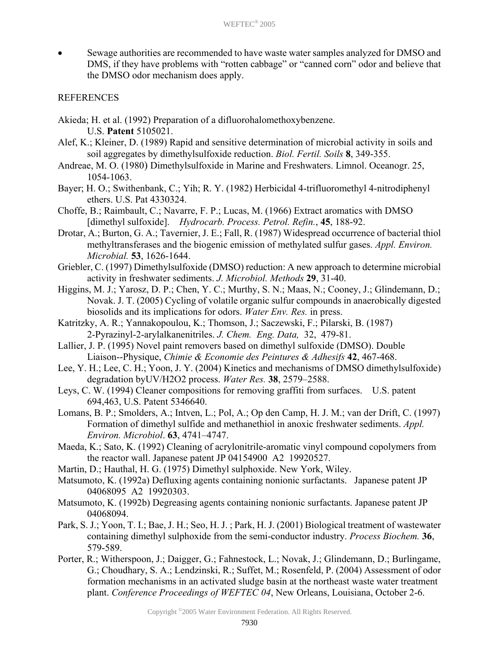• Sewage authorities are recommended to have waste water samples analyzed for DMSO and DMS, if they have problems with "rotten cabbage" or "canned corn" odor and believe that the DMSO odor mechanism does apply.

#### REFERENCES

- Akieda; H. et al. (1992) Preparation of a difluorohalomethoxybenzene. U.S. **Patent** 5105021.
- Alef, K.; Kleiner, D. (1989) Rapid and sensitive determination of microbial activity in soils and soil aggregates by dimethylsulfoxide reduction. *Biol. Fertil. Soils* **8**, 349-355.
- Andreae, M. O. (1980) Dimethylsulfoxide in Marine and Freshwaters. Limnol. Oceanogr. 25, 1054-1063.
- Bayer; H. O.; Swithenbank, C.; Yih; R. Y. (1982) Herbicidal 4-trifluoromethyl 4-nitrodiphenyl ethers. U.S. Pat 4330324.
- Choffe, B.; Raimbault, C.; Navarre, F. P.; Lucas, M. (1966) Extract aromatics with DMSO [dimethyl sulfoxide]. *Hydrocarb. Process. Petrol. Refin.*, **45**, 188-92.
- Drotar, A.; Burton, G. A.; Tavernier, J. E.; Fall, R. (1987) Widespread occurrence of bacterial thiol methyltransferases and the biogenic emission of methylated sulfur gases. *Appl. Environ. Microbial.* **53**, 1626-1644.
- Griebler, C. (1997) Dimethylsulfoxide (DMSO) reduction: A new approach to determine microbial activity in freshwater sediments. *J. Microbiol. Methods* **29**, 31-40.
- Higgins, M. J.; Yarosz, D. P.; Chen, Y. C.; Murthy, S. N.; Maas, N.; Cooney, J.; Glindemann, D.; Novak. J. T. (2005) Cycling of volatile organic sulfur compounds in anaerobically digested biosolids and its implications for odors. *Water Env. Res.* in press.
- Katritzky, A. R.; Yannakopoulou, K.; Thomson, J.; Saczewski, F.; Pilarski, B. (1987) 2-Pyrazinyl-2-arylalkanenitriles. *J. Chem. Eng. Data,* 32, 479-81.
- Lallier, J. P. (1995) Novel paint removers based on dimethyl sulfoxide (DMSO). Double Liaison--Physique, *Chimie & Economie des Peintures & Adhesifs* **42**, 467-468.
- Lee, Y. H.; Lee, C. H.; Yoon, J. Y. (2004) Kinetics and mechanisms of DMSO dimethylsulfoxide) degradation byUV/H2O2 process. *Water Res.* **38**, 2579–2588.
- Leys, C. W. (1994) Cleaner compositions for removing graffiti from surfaces. U.S. patent 694,463, U.S. Patent 5346640.
- Lomans, B. P.; Smolders, A.; Intven, L.; Pol, A.; Op den Camp, H. J. M.; van der Drift, C. (1997) Formation of dimethyl sulfide and methanethiol in anoxic freshwater sediments. *Appl. Environ. Microbiol*. **63**, 4741–4747.
- Maeda, K.; Sato, K. (1992) Cleaning of acrylonitrile-aromatic vinyl compound copolymers from the reactor wall. Japanese patent JP 04154900 A2 19920527.
- Martin, D.; Hauthal, H. G. (1975) Dimethyl sulphoxide. New York, Wiley.
- Matsumoto, K. (1992a) Defluxing agents containing nonionic surfactants. Japanese patent JP 04068095 A2 19920303.
- Matsumoto, K. (1992b) Degreasing agents containing nonionic surfactants. Japanese patent JP 04068094.
- Park, S. J.; Yoon, T. I.; Bae, J. H.; Seo, H. J. ; Park, H. J. (2001) Biological treatment of wastewater containing dimethyl sulphoxide from the semi-conductor industry. *Process Biochem.* **36**, 579-589.
- Porter, R.; Witherspoon, J.; Daigger, G.; Fahnestock, L.; Novak, J.; Glindemann, D.; Burlingame, G.; Choudhary, S. A.; Lendzinski, R.; Suffet, M.; Rosenfeld, P. (2004) Assessment of odor formation mechanisms in an activated sludge basin at the northeast waste water treatment plant. *Conference Proceedings of WEFTEC 04*, New Orleans, Louisiana, October 2-6.